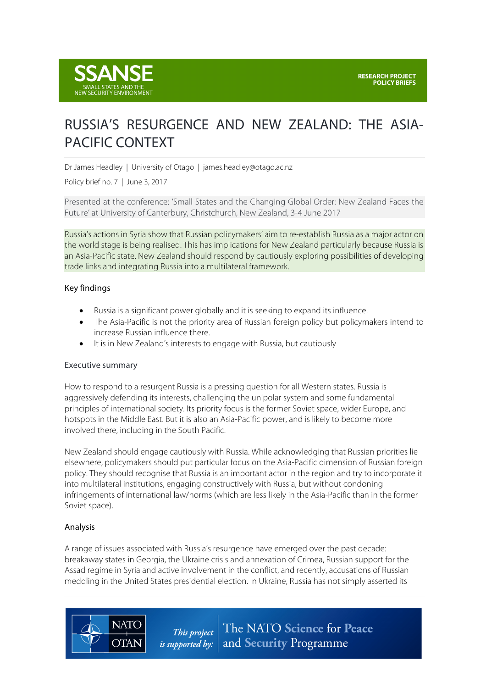# RUSSIA'S RESURGENCE AND NEW ZEALAND: THE ASIA-PACIFIC CONTEXT

Dr James Headley | University of Otago | james.headley@otago.ac.nz

Policy brief no. 7 | June 3, 2017

Presented at the conference: 'Small States and the Changing Global Order: New Zealand Faces the Future' at University of Canterbury, Christchurch, New Zealand, 3-4 June 2017

Russia's actions in Syria show that Russian policymakers' aim to re-establish Russia as a major actor on the world stage is being realised. This has implications for New Zealand particularly because Russia is an Asia-Pacific state. New Zealand should respond by cautiously exploring possibilities of developing trade links and integrating Russia into a multilateral framework.

#### Key findings

- Russia is a significant power globally and it is seeking to expand its influence.
- The Asia-Pacific is not the priority area of Russian foreign policy but policymakers intend to increase Russian influence there.
- It is in New Zealand's interests to engage with Russia, but cautiously

#### Executive summary

How to respond to a resurgent Russia is a pressing question for all Western states. Russia is aggressively defending its interests, challenging the unipolar system and some fundamental principles of international society. Its priority focus is the former Soviet space, wider Europe, and hotspots in the Middle East. But it is also an Asia-Pacific power, and is likely to become more involved there, including in the South Pacific.

New Zealand should engage cautiously with Russia. While acknowledging that Russian priorities lie elsewhere, policymakers should put particular focus on the Asia-Pacific dimension of Russian foreign policy. They should recognise that Russia is an important actor in the region and try to incorporate it into multilateral institutions, engaging constructively with Russia, but without condoning infringements of international law/norms (which are less likely in the Asia-Pacific than in the former Soviet space).

## Analysis

**NATO** 

**OTAN** 

A range of issues associated with Russia's resurgence have emerged over the past decade: breakaway states in Georgia, the Ukraine crisis and annexation of Crimea, Russian support for the Assad regime in Syria and active involvement in the conflict, and recently, accusations of Russian meddling in the United States presidential election. In Ukraine, Russia has not simply asserted its

> The NATO Science for Peace This project *is supported by:*  $\vert$  and **Security** Programme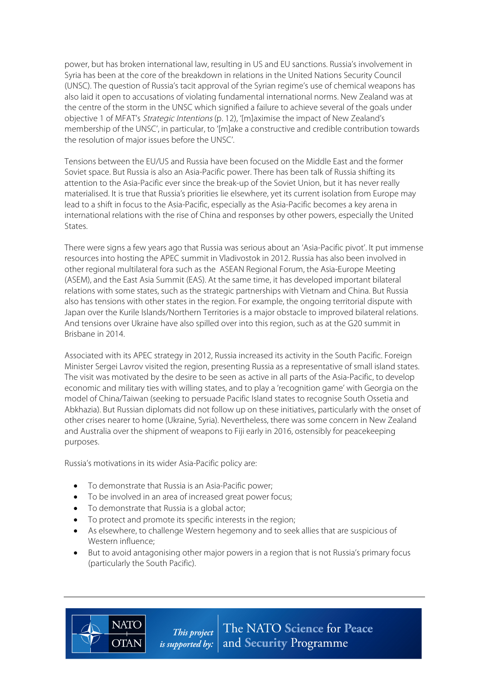power, but has broken international law, resulting in US and EU sanctions. Russia's involvement in Syria has been at the core of the breakdown in relations in the United Nations Security Council (UNSC). The question of Russia's tacit approval of the Syrian regime's use of chemical weapons has also laid it open to accusations of violating fundamental international norms. New Zealand was at the centre of the storm in the UNSC which signified a failure to achieve several of the goals under objective 1 of MFAT's Strategic Intentions (p. 12), '[m]aximise the impact of New Zealand's membership of the UNSC', in particular, to '[m]ake a constructive and credible contribution towards the resolution of major issues before the UNSC'.

Tensions between the EU/US and Russia have been focused on the Middle East and the former Soviet space. But Russia is also an Asia-Pacific power. There has been talk of Russia shifting its attention to the Asia-Pacific ever since the break-up of the Soviet Union, but it has never really materialised. It is true that Russia's priorities lie elsewhere, yet its current isolation from Europe may lead to a shift in focus to the Asia-Pacific, especially as the Asia-Pacific becomes a key arena in international relations with the rise of China and responses by other powers, especially the United States.

There were signs a few years ago that Russia was serious about an 'Asia-Pacific pivot'. It put immense resources into hosting the APEC summit in Vladivostok in 2012. Russia has also been involved in other regional multilateral fora such as the ASEAN Regional Forum, the Asia-Europe Meeting (ASEM), and the East Asia Summit (EAS). At the same time, it has developed important bilateral relations with some states, such as the strategic partnerships with Vietnam and China. But Russia also has tensions with other states in the region. For example, the ongoing territorial dispute with Japan over the Kurile Islands/Northern Territories is a major obstacle to improved bilateral relations. And tensions over Ukraine have also spilled over into this region, such as at the G20 summit in Brisbane in 2014.

Associated with its APEC strategy in 2012, Russia increased its activity in the South Pacific. Foreign Minister Sergei Lavrov visited the region, presenting Russia as a representative of small island states. The visit was motivated by the desire to be seen as active in all parts of the Asia-Pacific, to develop economic and military ties with willing states, and to play a 'recognition game' with Georgia on the model of China/Taiwan (seeking to persuade Pacific Island states to recognise South Ossetia and Abkhazia). But Russian diplomats did not follow up on these initiatives, particularly with the onset of other crises nearer to home (Ukraine, Syria). Nevertheless, there was some concern in New Zealand and Australia over the shipment of weapons to Fiji early in 2016, ostensibly for peacekeeping purposes.

Russia's motivations in its wider Asia-Pacific policy are:

- To demonstrate that Russia is an Asia-Pacific power;
- To be involved in an area of increased great power focus;
- To demonstrate that Russia is a global actor;

**NATO** 

**OTAN** 

- To protect and promote its specific interests in the region;
- As elsewhere, to challenge Western hegemony and to seek allies that are suspicious of Western influence;
- But to avoid antagonising other major powers in a region that is not Russia's primary focus (particularly the South Pacific).

The NATO Science for Peace This project *is supported by:*  $\vert$  and **Security** Programme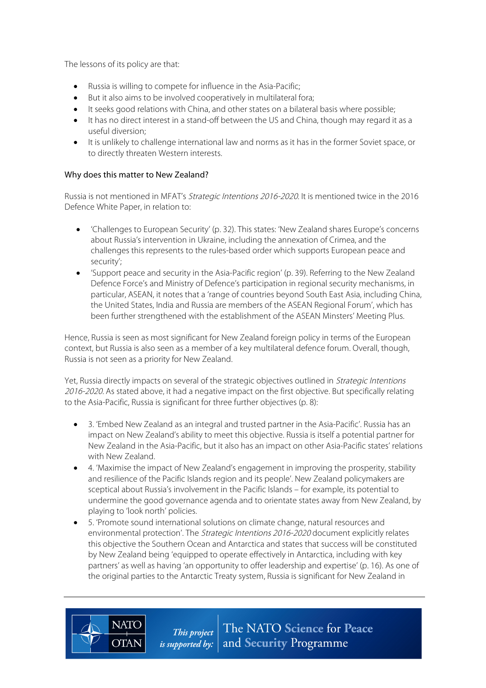The lessons of its policy are that:

- Russia is willing to compete for influence in the Asia-Pacific;
- But it also aims to be involved cooperatively in multilateral fora;
- It seeks good relations with China, and other states on a bilateral basis where possible;
- It has no direct interest in a stand-off between the US and China, though may regard it as a useful diversion;
- It is unlikely to challenge international law and norms as it has in the former Soviet space, or to directly threaten Western interests.

## Why does this matter to New Zealand?

**NATO** 

**OTAN** 

Russia is not mentioned in MFAT's Strategic Intentions 2016-2020. It is mentioned twice in the 2016 Defence White Paper, in relation to:

- 'Challenges to European Security' (p. 32). This states: 'New Zealand shares Europe's concerns about Russia's intervention in Ukraine, including the annexation of Crimea, and the challenges this represents to the rules-based order which supports European peace and security';
- 'Support peace and security in the Asia-Pacific region' (p. 39). Referring to the New Zealand Defence Force's and Ministry of Defence's participation in regional security mechanisms, in particular, ASEAN, it notes that a 'range of countries beyond South East Asia, including China, the United States, India and Russia are members of the ASEAN Regional Forum', which has been further strengthened with the establishment of the ASEAN Minsters' Meeting Plus.

Hence, Russia is seen as most significant for New Zealand foreign policy in terms of the European context, but Russia is also seen as a member of a key multilateral defence forum. Overall, though, Russia is not seen as a priority for New Zealand.

Yet, Russia directly impacts on several of the strategic objectives outlined in Strategic Intentions 2016-2020. As stated above, it had a negative impact on the first objective. But specifically relating to the Asia-Pacific, Russia is significant for three further objectives (p. 8):

- 3. 'Embed New Zealand as an integral and trusted partner in the Asia-Pacific'. Russia has an impact on New Zealand's ability to meet this objective. Russia is itself a potential partner for New Zealand in the Asia-Pacific, but it also has an impact on other Asia-Pacific states' relations with New Zealand.
- 4. 'Maximise the impact of New Zealand's engagement in improving the prosperity, stability and resilience of the Pacific Islands region and its people'. New Zealand policymakers are sceptical about Russia's involvement in the Pacific Islands – for example, its potential to undermine the good governance agenda and to orientate states away from New Zealand, by playing to 'look north' policies.
- 5. 'Promote sound international solutions on climate change, natural resources and environmental protection'. The Strategic Intentions 2016-2020 document explicitly relates this objective the Southern Ocean and Antarctica and states that success will be constituted by New Zealand being 'equipped to operate effectively in Antarctica, including with key partners' as well as having 'an opportunity to offer leadership and expertise' (p. 16). As one of the original parties to the Antarctic Treaty system, Russia is significant for New Zealand in

*This project* The NATO Science for Peace *is supported by:*  $|$  and **Security** Programme